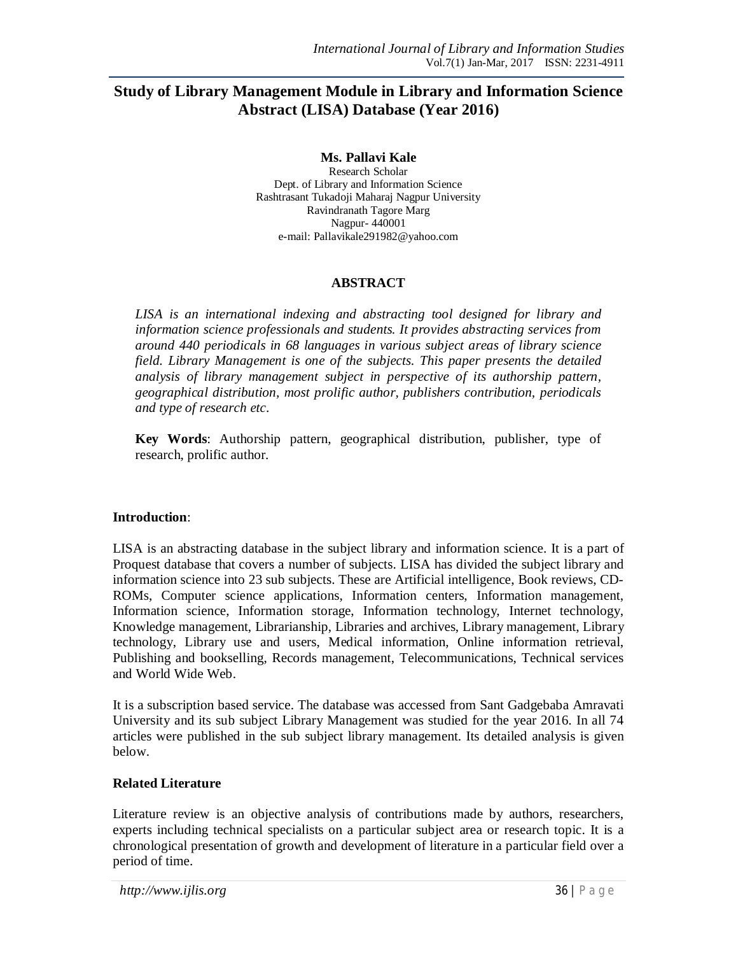# **Study of Library Management Module in Library and Information Science Abstract (LISA) Database (Year 2016)**

**Ms. Pallavi Kale** Research Scholar Dept. of Library and Information Science Rashtrasant Tukadoji Maharaj Nagpur University Ravindranath Tagore Marg Nagpur- 440001 e-mail: Pallavikale291982@yahoo.com

### **ABSTRACT**

*LISA is an international indexing and abstracting tool designed for library and information science professionals and students. It provides abstracting services from around 440 periodicals in 68 languages in various subject areas of library science field. Library Management is one of the subjects. This paper presents the detailed analysis of library management subject in perspective of its authorship pattern, geographical distribution, most prolific author, publishers contribution, periodicals and type of research etc*.

**Key Words**: Authorship pattern, geographical distribution, publisher, type of research, prolific author.

### **Introduction**:

LISA is an abstracting database in the subject library and information science. It is a part of Proquest database that covers a number of subjects. LISA has divided the subject library and information science into 23 sub subjects. These are Artificial intelligence, Book reviews, CD-ROMs, Computer science applications, Information centers, Information management, Information science, Information storage, Information technology, Internet technology, Knowledge management, Librarianship, Libraries and archives, Library management, Library technology, Library use and users, Medical information, Online information retrieval, Publishing and bookselling, Records management, Telecommunications, Technical services and World Wide Web.

It is a subscription based service. The database was accessed from Sant Gadgebaba Amravati University and its sub subject Library Management was studied for the year 2016. In all 74 articles were published in the sub subject library management. Its detailed analysis is given below.

### **Related Literature**

Literature review is an objective analysis of contributions made by authors, researchers, experts including technical specialists on a particular subject area or research topic. It is a chronological presentation of growth and development of literature in a particular field over a period of time.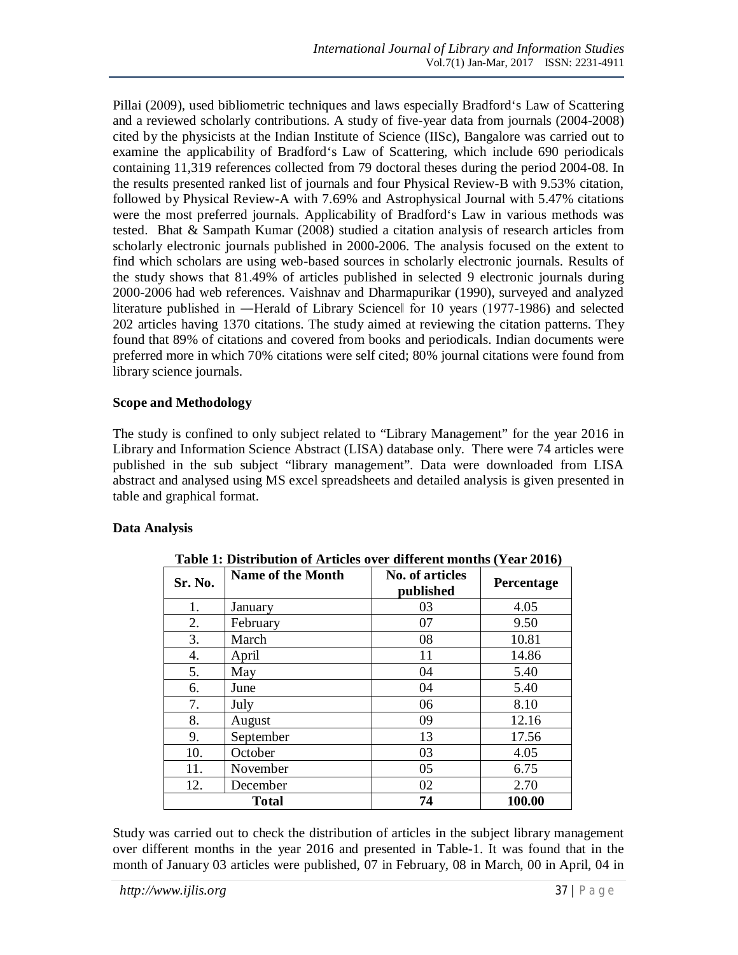Pillai (2009), used bibliometric techniques and laws especially Bradford's Law of Scattering and a reviewed scholarly contributions. A study of five-year data from journals (2004-2008) cited by the physicists at the Indian Institute of Science (IISc), Bangalore was carried out to examine the applicability of Bradford's Law of Scattering, which include 690 periodicals containing 11,319 references collected from 79 doctoral theses during the period 2004-08. In the results presented ranked list of journals and four Physical Review-B with 9.53% citation, followed by Physical Review-A with 7.69% and Astrophysical Journal with 5.47% citations were the most preferred journals. Applicability of Bradford's Law in various methods was tested. Bhat & Sampath Kumar (2008) studied a citation analysis of research articles from scholarly electronic journals published in 2000-2006. The analysis focused on the extent to find which scholars are using web-based sources in scholarly electronic journals. Results of the study shows that 81.49% of articles published in selected 9 electronic journals during 2000-2006 had web references. Vaishnav and Dharmapurikar (1990), surveyed and analyzed literature published in ―Herald of Library Science‖ for 10 years (1977-1986) and selected 202 articles having 1370 citations. The study aimed at reviewing the citation patterns. They found that 89% of citations and covered from books and periodicals. Indian documents were preferred more in which 70% citations were self cited; 80% journal citations were found from library science journals.

### **Scope and Methodology**

The study is confined to only subject related to "Library Management" for the year 2016 in Library and Information Science Abstract (LISA) database only. There were 74 articles were published in the sub subject "library management". Data were downloaded from LISA abstract and analysed using MS excel spreadsheets and detailed analysis is given presented in table and graphical format.

# **Data Analysis**

| Sr. No. | <b>Name of the Month</b> | <b>No. of articles</b><br>published | Percentage |
|---------|--------------------------|-------------------------------------|------------|
| 1.      | January                  | 03                                  | 4.05       |
| 2.      | February                 | 07                                  | 9.50       |
| 3.      | March                    | 08                                  | 10.81      |
| 4.      | April                    | 11                                  | 14.86      |
| 5.      | May                      | 04                                  | 5.40       |
| 6.      | June                     | 04                                  | 5.40       |
| 7.      | July                     | 06                                  | 8.10       |
| 8.      | August                   | 09                                  | 12.16      |
| 9.      | September                | 13                                  | 17.56      |
| 10.     | October                  | 03                                  | 4.05       |
| 11.     | November                 | 05                                  | 6.75       |
| 12.     | December                 | 02                                  | 2.70       |
|         | <b>Total</b>             | 74                                  | 100.00     |

**Table 1: Distribution of Articles over different months (Year 2016)**

Study was carried out to check the distribution of articles in the subject library management over different months in the year 2016 and presented in Table-1. It was found that in the month of January 03 articles were published, 07 in February, 08 in March, 00 in April, 04 in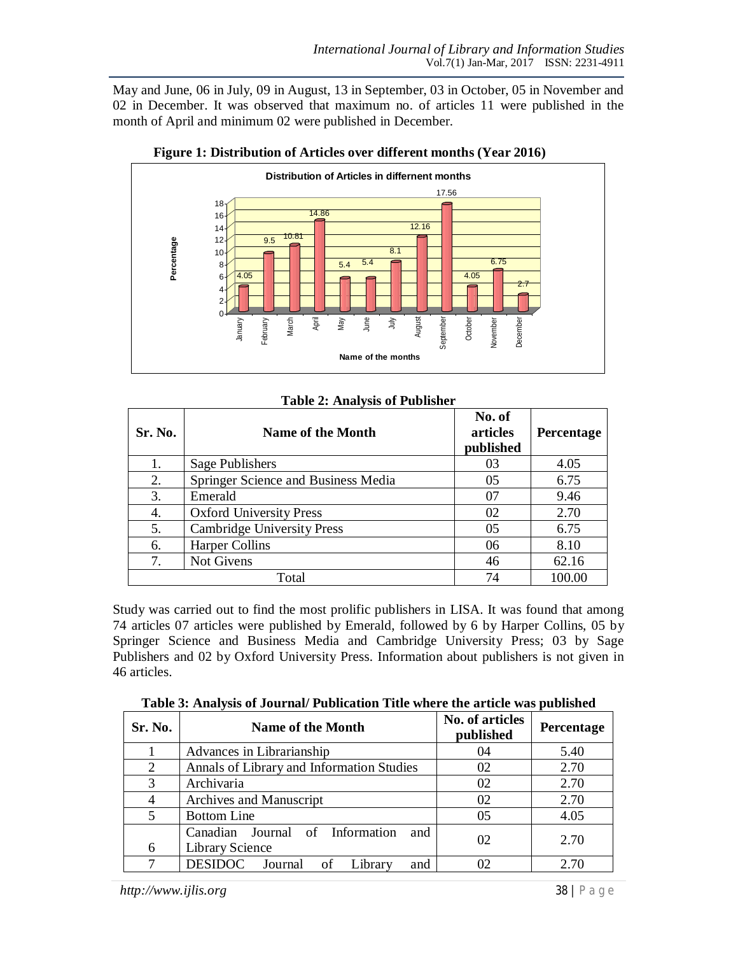May and June, 06 in July, 09 in August, 13 in September, 03 in October, 05 in November and 02 in December. It was observed that maximum no. of articles 11 were published in the month of April and minimum 02 were published in December.



| Figure 1: Distribution of Articles over different months (Year 2016) |
|----------------------------------------------------------------------|
|----------------------------------------------------------------------|

| Sr. No. | <b>Name of the Month</b>            | No. of<br>articles<br>published | Percentage |
|---------|-------------------------------------|---------------------------------|------------|
| 1.      | Sage Publishers                     | 03                              | 4.05       |
| 2.      | Springer Science and Business Media | 05                              | 6.75       |
| 3.      | Emerald                             | 07                              | 9.46       |
| 4.      | <b>Oxford University Press</b>      | 02                              | 2.70       |
| 5.      | <b>Cambridge University Press</b>   | 0 <sub>5</sub>                  | 6.75       |
| 6.      | <b>Harper Collins</b>               | 06                              | 8.10       |
| 7.      | Not Givens                          | 46                              | 62.16      |
|         | Total                               | 74                              | 100.00     |

#### **Table 2: Analysis of Publisher**

Study was carried out to find the most prolific publishers in LISA. It was found that among 74 articles 07 articles were published by Emerald, followed by 6 by Harper Collins, 05 by Springer Science and Business Media and Cambridge University Press; 03 by Sage Publishers and 02 by Oxford University Press. Information about publishers is not given in 46 articles.

| Sr. No.        | <b>Name of the Month</b>                                         | No. of articles<br>published | Percentage |
|----------------|------------------------------------------------------------------|------------------------------|------------|
|                | Advances in Librarianship                                        | 04                           | 5.40       |
| $\overline{2}$ | Annals of Library and Information Studies                        | 02                           | 2.70       |
| 3              | Archivaria                                                       | 02                           | 2.70       |
|                | Archives and Manuscript                                          | 02                           | 2.70       |
| 5              | <b>Bottom Line</b>                                               | 05                           | 4.05       |
| 6              | Canadian Journal of Information<br>and<br><b>Library Science</b> | 02                           | 2.70       |
|                | <b>DESIDOC</b><br>Journal of Library<br>and                      |                              | 2.70       |

**Table 3: Analysis of Journal/ Publication Title where the article was published**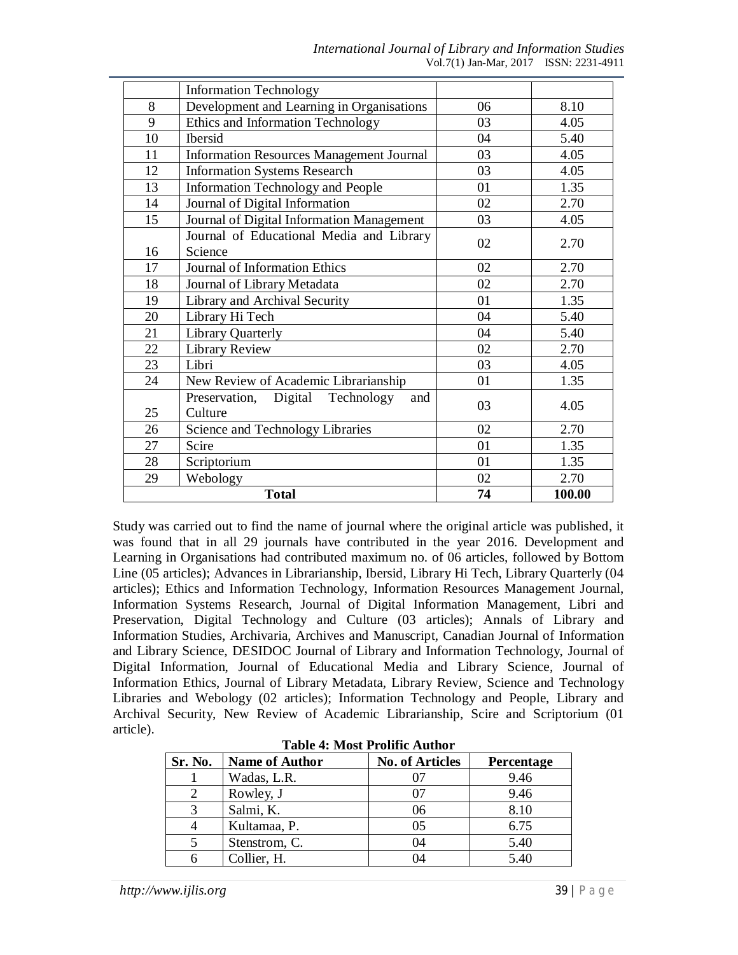|    | <b>Information Technology</b>                   |    |        |
|----|-------------------------------------------------|----|--------|
| 8  | Development and Learning in Organisations       | 06 | 8.10   |
| 9  | Ethics and Information Technology               | 03 | 4.05   |
| 10 | <b>Ibersid</b>                                  | 04 | 5.40   |
| 11 | <b>Information Resources Management Journal</b> | 03 | 4.05   |
| 12 | <b>Information Systems Research</b>             | 03 | 4.05   |
| 13 | <b>Information Technology and People</b>        | 01 | 1.35   |
| 14 | Journal of Digital Information                  | 02 | 2.70   |
| 15 | Journal of Digital Information Management       | 03 | 4.05   |
|    | Journal of Educational Media and Library        |    |        |
| 16 | Science                                         | 02 | 2.70   |
| 17 | Journal of Information Ethics                   | 02 | 2.70   |
| 18 | Journal of Library Metadata                     | 02 | 2.70   |
| 19 | Library and Archival Security                   | 01 | 1.35   |
| 20 | Library Hi Tech                                 | 04 | 5.40   |
| 21 | <b>Library Quarterly</b>                        | 04 | 5.40   |
| 22 | Library Review                                  | 02 | 2.70   |
| 23 | Libri                                           | 03 | 4.05   |
| 24 | New Review of Academic Librarianship            | 01 | 1.35   |
|    | Digital<br>Technology<br>Preservation,<br>and   |    |        |
| 25 | Culture                                         | 03 | 4.05   |
| 26 | Science and Technology Libraries                | 02 | 2.70   |
| 27 | Scire                                           | 01 | 1.35   |
| 28 | Scriptorium                                     | 01 | 1.35   |
| 29 | Webology                                        | 02 | 2.70   |
|    | <b>Total</b>                                    | 74 | 100.00 |

Study was carried out to find the name of journal where the original article was published, it was found that in all 29 journals have contributed in the year 2016. Development and Learning in Organisations had contributed maximum no. of 06 articles, followed by Bottom Line (05 articles); Advances in Librarianship, Ibersid, Library Hi Tech, Library Quarterly (04 articles); Ethics and Information Technology, Information Resources Management Journal, Information Systems Research, Journal of Digital Information Management, Libri and Preservation, Digital Technology and Culture (03 articles); Annals of Library and Information Studies, Archivaria, Archives and Manuscript, Canadian Journal of Information and Library Science, DESIDOC Journal of Library and Information Technology, Journal of Digital Information, Journal of Educational Media and Library Science, Journal of Information Ethics, Journal of Library Metadata, Library Review, Science and Technology Libraries and Webology (02 articles); Information Technology and People, Library and Archival Security, New Review of Academic Librarianship, Scire and Scriptorium (01 article).

| таміс тылометтонністічнімі |                       |                        |            |
|----------------------------|-----------------------|------------------------|------------|
| Sr. No.                    | <b>Name of Author</b> | <b>No. of Articles</b> | Percentage |
|                            | Wadas, L.R.           |                        | 9.46       |
|                            | Rowley, J             | 07                     | 9.46       |
|                            | Salmi, K.             | 06                     | 8.10       |
|                            | Kultamaa, P.          | 05                     | 6.75       |
|                            | Stenstrom, C.         | 04                     | 5.40       |
|                            | Collier, H.           | 04                     | 5.40       |

**Table 4: Most Prolific Author**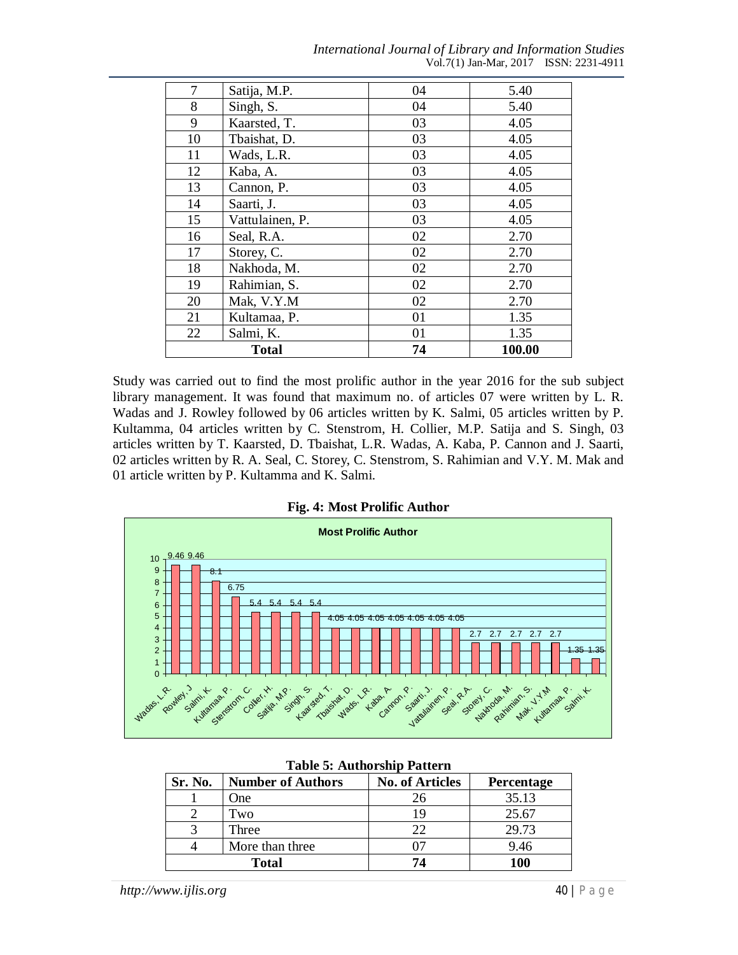| International Journal of Library and Information Studies |  |
|----------------------------------------------------------|--|
| Vol. $7(1)$ Jan-Mar, $2017$ ISSN: $2231-4911$            |  |

| 7  | Satija, M.P.    | 04 | 5.40   |
|----|-----------------|----|--------|
| 8  | Singh, S.       | 04 | 5.40   |
| 9  | Kaarsted, T.    | 03 | 4.05   |
| 10 | Tbaishat, D.    | 03 | 4.05   |
| 11 | Wads, L.R.      | 03 | 4.05   |
| 12 | Kaba, A.        | 03 | 4.05   |
| 13 | Cannon, P.      | 03 | 4.05   |
| 14 | Saarti, J.      | 03 | 4.05   |
| 15 | Vattulainen, P. | 03 | 4.05   |
| 16 | Seal, R.A.      | 02 | 2.70   |
| 17 | Storey, C.      | 02 | 2.70   |
| 18 | Nakhoda, M.     | 02 | 2.70   |
| 19 | Rahimian, S.    | 02 | 2.70   |
| 20 | Mak, V.Y.M      | 02 | 2.70   |
| 21 | Kultamaa, P.    | 01 | 1.35   |
| 22 | Salmi, K.       | 01 | 1.35   |
|    | <b>Total</b>    | 74 | 100.00 |

Study was carried out to find the most prolific author in the year 2016 for the sub subject library management. It was found that maximum no. of articles 07 were written by L. R. Wadas and J. Rowley followed by 06 articles written by K. Salmi, 05 articles written by P. Kultamma, 04 articles written by C. Stenstrom, H. Collier, M.P. Satija and S. Singh, 03 articles written by T. Kaarsted, D. Tbaishat, L.R. Wadas, A. Kaba, P. Cannon and J. Saarti, 02 articles written by R. A. Seal, C. Storey, C. Stenstrom, S. Rahimian and V.Y. M. Mak and 01 article written by P. Kultamma and K. Salmi.

**Fig. 4: Most Prolific Author**



#### **Table 5: Authorship Pattern**

| Sr. No.      | <b>Number of Authors</b> | <b>No. of Articles</b> | <b>Percentage</b> |
|--------------|--------------------------|------------------------|-------------------|
|              | One                      | 26                     | 35.13             |
|              | Two                      | 19                     | 25.67             |
|              | Three                    | $22^{\circ}$           | 29.73             |
|              | More than three          |                        | 9.46              |
| <b>Total</b> |                          | 74                     | 100               |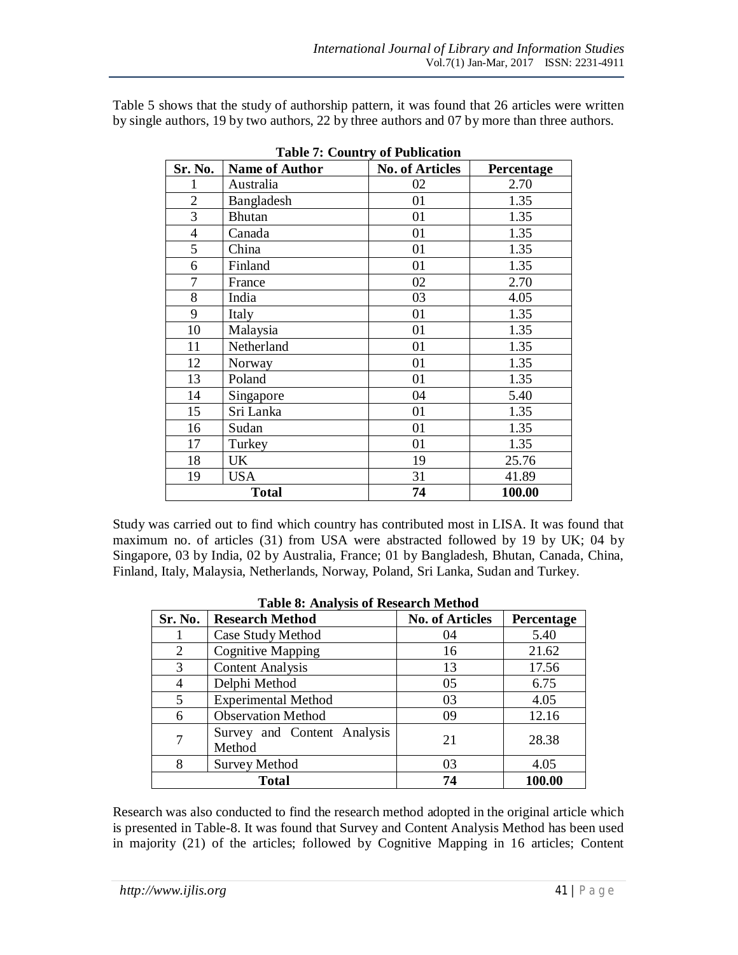Table 5 shows that the study of authorship pattern, it was found that 26 articles were written by single authors, 19 by two authors, 22 by three authors and 07 by more than three authors.

| Sr. No.        | <b>Name of Author</b> | <b>No. of Articles</b> | Percentage |
|----------------|-----------------------|------------------------|------------|
| 1              | Australia             | 02                     | 2.70       |
| $\overline{2}$ | Bangladesh            | 01                     | 1.35       |
| 3              | <b>Bhutan</b>         | 01                     | 1.35       |
| $\overline{4}$ | Canada                | 01                     | 1.35       |
| 5              | China                 | 01                     | 1.35       |
| 6              | Finland               | 01                     | 1.35       |
| 7              | France                | 02                     | 2.70       |
| 8              | India                 | 03                     | 4.05       |
| 9              | Italy                 | 01                     | 1.35       |
| 10             | Malaysia              | 01                     | 1.35       |
| 11             | Netherland            | 01                     | 1.35       |
| 12             | Norway                | 01                     | 1.35       |
| 13             | Poland                | 01                     | 1.35       |
| 14             | Singapore             | 04                     | 5.40       |
| 15             | Sri Lanka             | 01                     | 1.35       |
| 16             | Sudan                 | 01                     | 1.35       |
| 17             | Turkey                | 01                     | 1.35       |
| 18             | UK                    | 19                     | 25.76      |
| 19             | <b>USA</b>            | 31                     | 41.89      |
|                | <b>Total</b>          | 74                     | 100.00     |

**Table 7: Country of Publication**

Study was carried out to find which country has contributed most in LISA. It was found that maximum no. of articles (31) from USA were abstracted followed by 19 by UK; 04 by Singapore, 03 by India, 02 by Australia, France; 01 by Bangladesh, Bhutan, Canada, China, Finland, Italy, Malaysia, Netherlands, Norway, Poland, Sri Lanka, Sudan and Turkey.

| Sr. No.        | Table of Analysis of Research Method<br><b>Research Method</b> | <b>No. of Articles</b> | Percentage |  |
|----------------|----------------------------------------------------------------|------------------------|------------|--|
|                | Case Study Method                                              | 04                     | 5.40       |  |
| $\overline{2}$ | <b>Cognitive Mapping</b>                                       | 16                     | 21.62      |  |
| 3              | <b>Content Analysis</b>                                        | 13                     | 17.56      |  |
| 4              | Delphi Method                                                  | 05                     | 6.75       |  |
| 5              | <b>Experimental Method</b>                                     | 03                     | 4.05       |  |
| 6              | <b>Observation Method</b>                                      | 09                     | 12.16      |  |
| 7              | Survey and Content Analysis<br>Method                          | 21                     | 28.38      |  |
| 8              | <b>Survey Method</b>                                           | 03                     | 4.05       |  |
|                | 100.00<br><b>Total</b><br>74                                   |                        |            |  |

|  |  | <b>Table 8: Analysis of Research Method</b> |  |
|--|--|---------------------------------------------|--|
|--|--|---------------------------------------------|--|

Research was also conducted to find the research method adopted in the original article which is presented in Table-8. It was found that Survey and Content Analysis Method has been used in majority (21) of the articles; followed by Cognitive Mapping in 16 articles; Content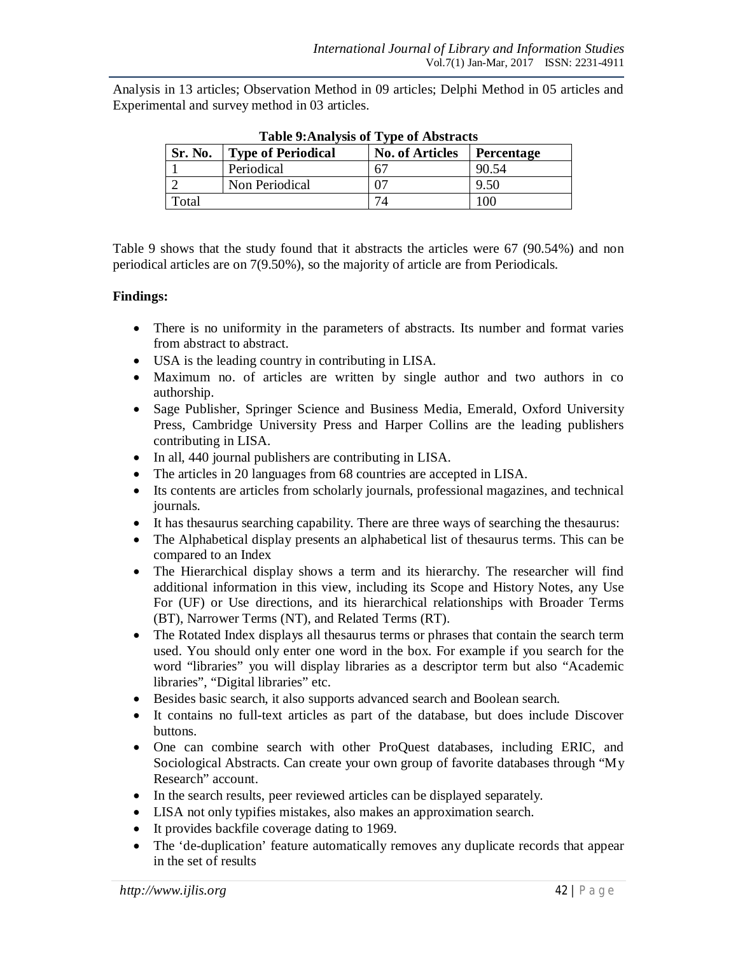Analysis in 13 articles; Observation Method in 09 articles; Delphi Method in 05 articles and Experimental and survey method in 03 articles.

| Table 2. Analysis of Type of Abstracts |                           |                        |                   |
|----------------------------------------|---------------------------|------------------------|-------------------|
| Sr. No.                                | <b>Type of Periodical</b> | <b>No. of Articles</b> | <b>Percentage</b> |
|                                        | Periodical                |                        | 90.54             |
|                                        | Non Periodical            |                        | 9.50              |
| Total                                  |                           |                        | 100               |

**Table 9:Analysis of Type of Abstracts**

Table 9 shows that the study found that it abstracts the articles were 67 (90.54%) and non periodical articles are on 7(9.50%), so the majority of article are from Periodicals.

# **Findings:**

- There is no uniformity in the parameters of abstracts. Its number and format varies from abstract to abstract.
- USA is the leading country in contributing in LISA.
- Maximum no. of articles are written by single author and two authors in co authorship.
- Sage Publisher, Springer Science and Business Media, Emerald, Oxford University Press, Cambridge University Press and Harper Collins are the leading publishers contributing in LISA.
- In all, 440 journal publishers are contributing in LISA.
- The articles in 20 languages from 68 countries are accepted in LISA.
- Its contents are articles from scholarly journals, professional magazines, and technical journals.
- It has thesaurus searching capability. There are three ways of searching the thesaurus:
- The Alphabetical display presents an alphabetical list of thesaurus terms. This can be compared to an Index
- The Hierarchical display shows a term and its hierarchy. The researcher will find additional information in this view, including its Scope and History Notes, any Use For (UF) or Use directions, and its hierarchical relationships with Broader Terms (BT), Narrower Terms (NT), and Related Terms (RT).
- The Rotated Index displays all the saurus terms or phrases that contain the search term used. You should only enter one word in the box. For example if you search for the word "libraries" you will display libraries as a descriptor term but also "Academic libraries", "Digital libraries" etc.
- Besides basic search, it also supports advanced search and Boolean search.
- It contains no full-text articles as part of the database, but does include Discover buttons.
- One can combine search with other ProQuest databases, including ERIC, and Sociological Abstracts. Can create your own group of favorite databases through "My Research" account.
- In the search results, peer reviewed articles can be displayed separately.
- LISA not only typifies mistakes, also makes an approximation search.
- It provides backfile coverage dating to 1969.
- The 'de-duplication' feature automatically removes any duplicate records that appear in the set of results